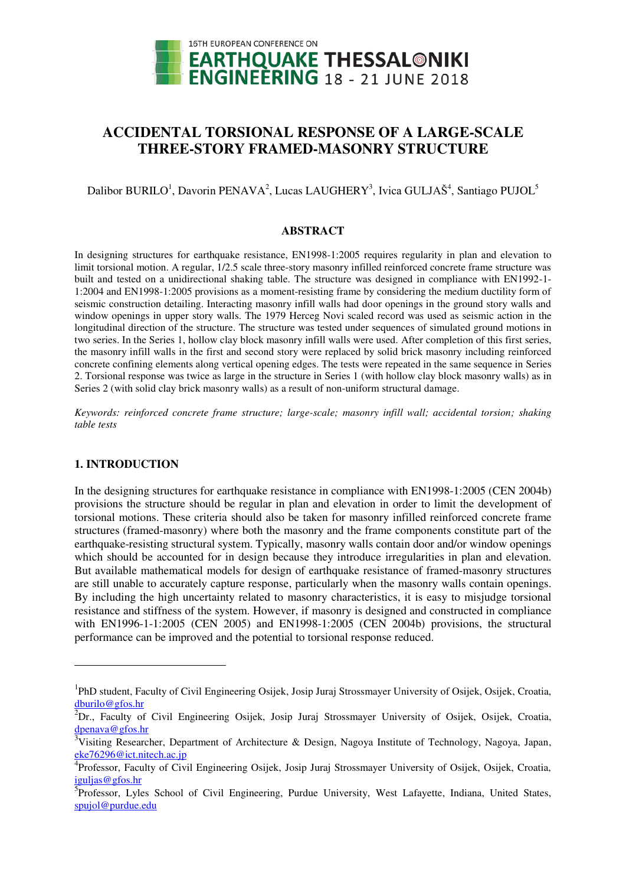

# **ACCIDENTAL TORSIONAL RESPONSE OF A LARGE-SCALE THREE-STORY FRAMED-MASONRY STRUCTURE**

Dalibor BURILO<sup>1</sup>, Davorin PENAVA<sup>2</sup>, Lucas LAUGHERY<sup>3</sup>, Ivica GULJAŠ<sup>4</sup>, Santiago PUJOL<sup>5</sup>

#### **ABSTRACT**

In designing structures for earthquake resistance, EN1998-1:2005 requires regularity in plan and elevation to limit torsional motion. A regular, 1/2.5 scale three-story masonry infilled reinforced concrete frame structure was built and tested on a unidirectional shaking table. The structure was designed in compliance with EN1992-1- 1:2004 and EN1998-1:2005 provisions as a moment-resisting frame by considering the medium ductility form of seismic construction detailing. Interacting masonry infill walls had door openings in the ground story walls and window openings in upper story walls. The 1979 Herceg Novi scaled record was used as seismic action in the longitudinal direction of the structure. The structure was tested under sequences of simulated ground motions in two series. In the Series 1, hollow clay block masonry infill walls were used. After completion of this first series, the masonry infill walls in the first and second story were replaced by solid brick masonry including reinforced concrete confining elements along vertical opening edges. The tests were repeated in the same sequence in Series 2. Torsional response was twice as large in the structure in Series 1 (with hollow clay block masonry walls) as in Series 2 (with solid clay brick masonry walls) as a result of non-uniform structural damage.

*Keywords: reinforced concrete frame structure; large-scale; masonry infill wall; accidental torsion; shaking table tests* 

## **1. INTRODUCTION**

 $\overline{a}$ 

In the designing structures for earthquake resistance in compliance with EN1998-1:2005 (CEN 2004b) provisions the structure should be regular in plan and elevation in order to limit the development of torsional motions. These criteria should also be taken for masonry infilled reinforced concrete frame structures (framed-masonry) where both the masonry and the frame components constitute part of the earthquake-resisting structural system. Typically, masonry walls contain door and/or window openings which should be accounted for in design because they introduce irregularities in plan and elevation. But available mathematical models for design of earthquake resistance of framed-masonry structures are still unable to accurately capture response, particularly when the masonry walls contain openings. By including the high uncertainty related to masonry characteristics, it is easy to misjudge torsional resistance and stiffness of the system. However, if masonry is designed and constructed in compliance with EN1996-1-1:2005 (CEN 2005) and EN1998-1:2005 (CEN 2004b) provisions, the structural performance can be improved and the potential to torsional response reduced.

<sup>&</sup>lt;sup>1</sup>PhD student, Faculty of Civil Engineering Osijek, Josip Juraj Strossmayer University of Osijek, Osijek, Croatia, [dburilo@gfos.hr](mailto:dburilo@gfos.hr) 

 ${}^{2}$ Dr., Faculty of Civil Engineering Osijek, Josip Juraj Strossmayer University of Osijek, Osijek, Croatia, [dpenava@gfos.hr](mailto:dpenava@gfos.hr) 

<sup>&</sup>lt;sup>3</sup>Visiting Researcher, Department of Architecture & Design, Nagoya Institute of Technology, Nagoya, Japan, eke76296@ict.nitech.ac.jp

<sup>4</sup> Professor, Faculty of Civil Engineering Osijek, Josip Juraj Strossmayer University of Osijek, Osijek, Croatia, iguljas@gfos.hr

<sup>&</sup>lt;sup>5</sup>Professor, Lyles School of Civil Engineering, Purdue University, West Lafayette, Indiana, United States, spujol@purdue.edu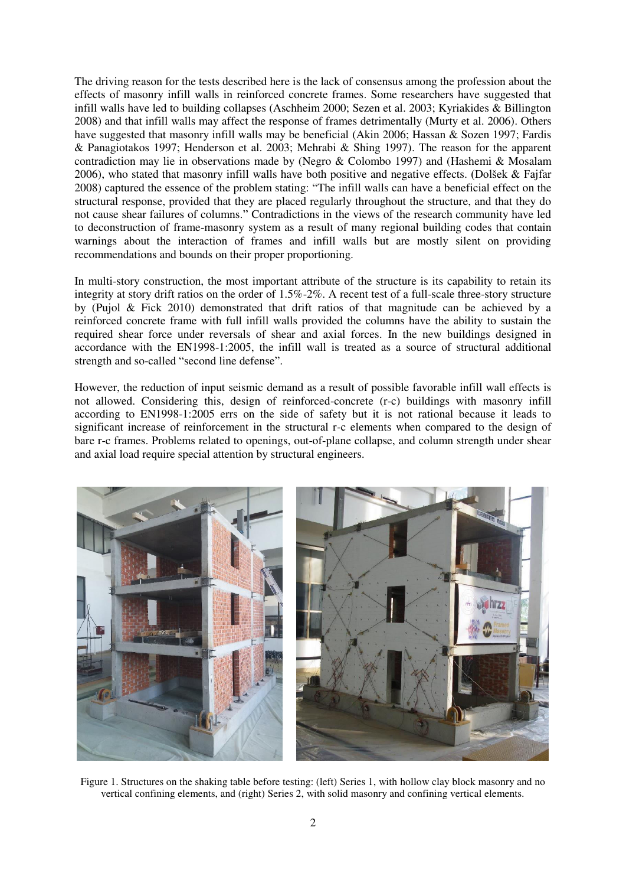The driving reason for the tests described here is the lack of consensus among the profession about the effects of masonry infill walls in reinforced concrete frames. Some researchers have suggested that infill walls have led to building collapses (Aschheim 2000; Sezen et al. 2003; Kyriakides & Billington 2008) and that infill walls may affect the response of frames detrimentally (Murty et al. 2006). Others have suggested that masonry infill walls may be beneficial (Akin 2006; Hassan & Sozen 1997; Fardis & Panagiotakos 1997; Henderson et al. 2003; Mehrabi & Shing 1997). The reason for the apparent contradiction may lie in observations made by (Negro & Colombo 1997) and (Hashemi & Mosalam 2006), who stated that masonry infill walls have both positive and negative effects. (Dolšek & Fajfar 2008) captured the essence of the problem stating: "The infill walls can have a beneficial effect on the structural response, provided that they are placed regularly throughout the structure, and that they do not cause shear failures of columns." Contradictions in the views of the research community have led to deconstruction of frame-masonry system as a result of many regional building codes that contain warnings about the interaction of frames and infill walls but are mostly silent on providing recommendations and bounds on their proper proportioning.

In multi-story construction, the most important attribute of the structure is its capability to retain its integrity at story drift ratios on the order of 1.5%-2%. A recent test of a full-scale three-story structure by (Pujol & Fick 2010) demonstrated that drift ratios of that magnitude can be achieved by a reinforced concrete frame with full infill walls provided the columns have the ability to sustain the required shear force under reversals of shear and axial forces. In the new buildings designed in accordance with the EN1998-1:2005, the infill wall is treated as a source of structural additional strength and so-called "second line defense".

However, the reduction of input seismic demand as a result of possible favorable infill wall effects is not allowed. Considering this, design of reinforced-concrete (r-c) buildings with masonry infill according to EN1998-1:2005 errs on the side of safety but it is not rational because it leads to significant increase of reinforcement in the structural r-c elements when compared to the design of bare r-c frames. Problems related to openings, out-of-plane collapse, and column strength under shear and axial load require special attention by structural engineers.



Figure 1. Structures on the shaking table before testing: (left) Series 1, with hollow clay block masonry and no vertical confining elements, and (right) Series 2, with solid masonry and confining vertical elements.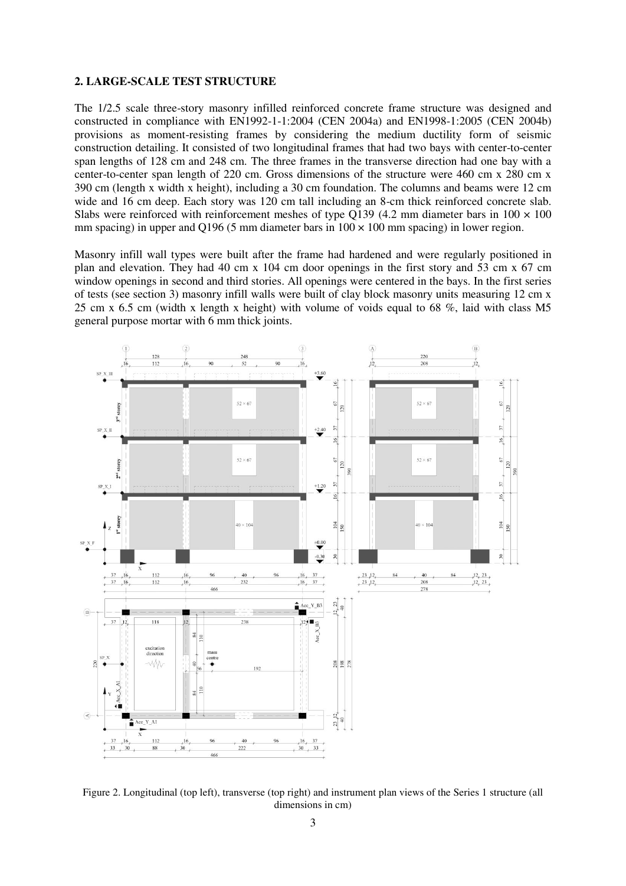#### **2. LARGE-SCALE TEST STRUCTURE**

The 1/2.5 scale three-story masonry infilled reinforced concrete frame structure was designed and constructed in compliance with EN1992-1-1:2004 (CEN 2004a) and EN1998-1:2005 (CEN 2004b) provisions as moment-resisting frames by considering the medium ductility form of seismic construction detailing. It consisted of two longitudinal frames that had two bays with center-to-center span lengths of 128 cm and 248 cm. The three frames in the transverse direction had one bay with a center-to-center span length of 220 cm. Gross dimensions of the structure were 460 cm x 280 cm x 390 cm (length x width x height), including a 30 cm foundation. The columns and beams were 12 cm wide and 16 cm deep. Each story was 120 cm tall including an 8-cm thick reinforced concrete slab. Slabs were reinforced with reinforcement meshes of type Q139 (4.2 mm diameter bars in  $100 \times 100$ mm spacing) in upper and Q196 (5 mm diameter bars in  $100 \times 100$  mm spacing) in lower region.

Masonry infill wall types were built after the frame had hardened and were regularly positioned in plan and elevation. They had 40 cm x 104 cm door openings in the first story and 53 cm x 67 cm window openings in second and third stories. All openings were centered in the bays. In the first series of tests (see section 3) masonry infill walls were built of clay block masonry units measuring 12 cm x 25 cm x 6.5 cm (width x length x height) with volume of voids equal to 68 %, laid with class M5 general purpose mortar with 6 mm thick joints.



Figure 2. Longitudinal (top left), transverse (top right) and instrument plan views of the Series 1 structure (all dimensions in cm)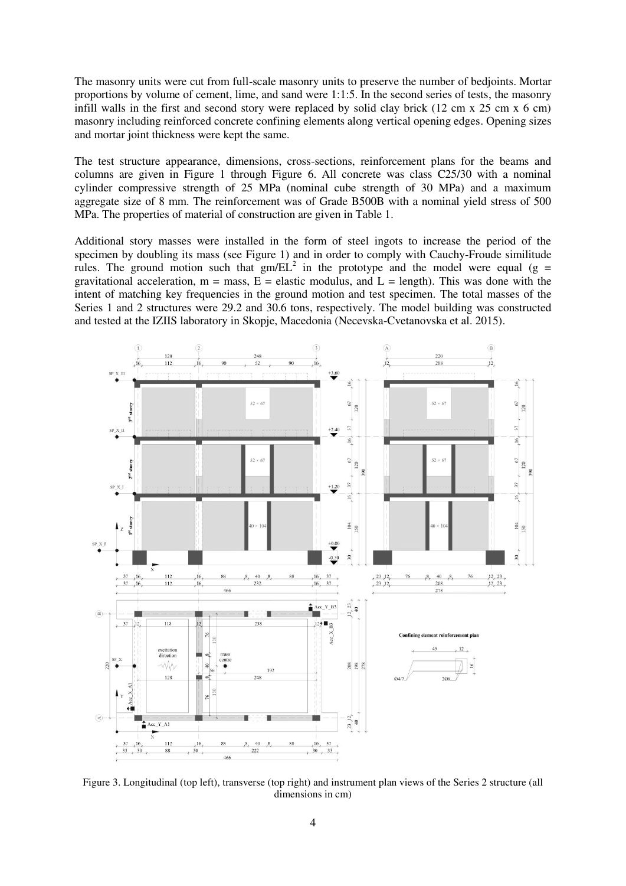The masonry units were cut from full-scale masonry units to preserve the number of bedjoints. Mortar proportions by volume of cement, lime, and sand were 1:1:5. In the second series of tests, the masonry infill walls in the first and second story were replaced by solid clay brick (12 cm x 25 cm x 6 cm) masonry including reinforced concrete confining elements along vertical opening edges. Opening sizes and mortar joint thickness were kept the same.

The test structure appearance, dimensions, cross-sections, reinforcement plans for the beams and columns are given in Figure 1 through Figure 6. All concrete was class C25/30 with a nominal cylinder compressive strength of 25 MPa (nominal cube strength of 30 MPa) and a maximum aggregate size of 8 mm. The reinforcement was of Grade B500B with a nominal yield stress of 500 MPa. The properties of material of construction are given in Table 1.

Additional story masses were installed in the form of steel ingots to increase the period of the specimen by doubling its mass (see Figure 1) and in order to comply with Cauchy-Froude similitude rules. The ground motion such that  $gm/EL^2$  in the prototype and the model were equal (g = gravitational acceleration,  $m =$  mass,  $E =$  elastic modulus, and  $L =$  length). This was done with the intent of matching key frequencies in the ground motion and test specimen. The total masses of the Series 1 and 2 structures were 29.2 and 30.6 tons, respectively. The model building was constructed and tested at the IZIIS laboratory in Skopje, Macedonia (Necevska-Cvetanovska et al. 2015).



Figure 3. Longitudinal (top left), transverse (top right) and instrument plan views of the Series 2 structure (all dimensions in cm)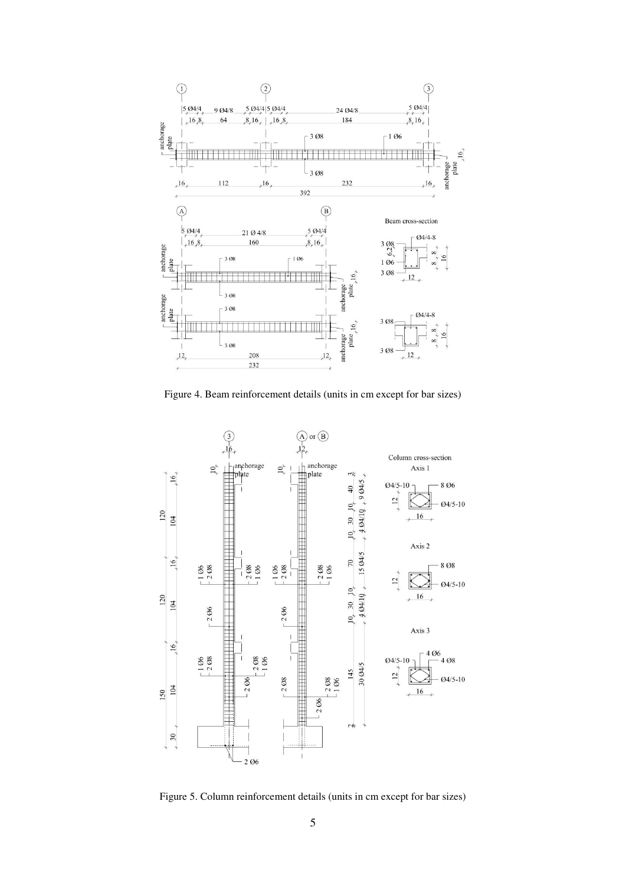

Figure 4. Beam reinforcement details (units in cm except for bar sizes)



Figure 5. Column reinforcement details (units in cm except for bar sizes)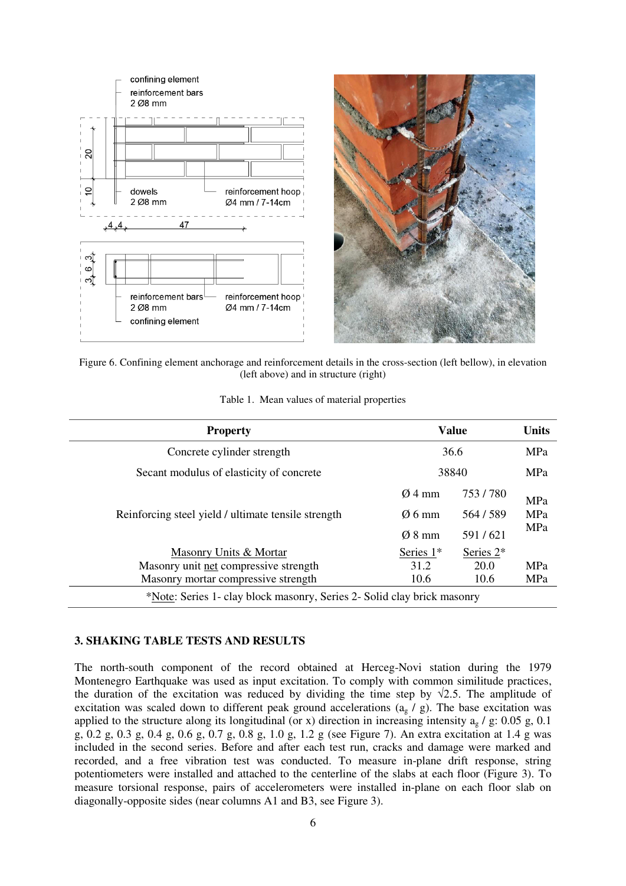



Figure 6. Confining element anchorage and reinforcement details in the cross-section (left bellow), in elevation (left above) and in structure (right)

| Table 1. Mean values of material properties |  |  |  |  |  |  |
|---------------------------------------------|--|--|--|--|--|--|
|---------------------------------------------|--|--|--|--|--|--|

| <b>Property</b>                                                         | <b>Value</b>       | <b>Units</b> |            |  |  |  |
|-------------------------------------------------------------------------|--------------------|--------------|------------|--|--|--|
| Concrete cylinder strength                                              | 36.6               | MPa          |            |  |  |  |
| Secant modulus of elasticity of concrete                                | 38840              | MPa          |            |  |  |  |
|                                                                         | $Ø4$ mm            | 753/780      | MPa        |  |  |  |
| Reinforcing steel yield / ultimate tensile strength                     | $\varnothing$ 6 mm | 564/589      | MPa        |  |  |  |
|                                                                         | $\varnothing$ 8 mm | 591/621      | MPa        |  |  |  |
| Masonry Units & Mortar                                                  | Series $1*$        | Series 2*    |            |  |  |  |
| Masonry unit net compressive strength                                   | 31.2               | 20.0         | <b>MPa</b> |  |  |  |
| Masonry mortar compressive strength                                     | 10.6               | 10.6         | MPa        |  |  |  |
| *Note: Series 1- clay block masonry, Series 2- Solid clay brick masonry |                    |              |            |  |  |  |

## **3. SHAKING TABLE TESTS AND RESULTS**

The north-south component of the record obtained at Herceg-Novi station during the 1979 Montenegro Earthquake was used as input excitation. To comply with common similitude practices, the duration of the excitation was reduced by dividing the time step by  $\sqrt{2.5}$ . The amplitude of excitation was scaled down to different peak ground accelerations  $(a_g / g)$ . The base excitation was applied to the structure along its longitudinal (or x) direction in increasing intensity  $a<sub>g</sub>$  / g: 0.05 g, 0.1 g, 0.2 g, 0.3 g, 0.4 g, 0.6 g, 0.7 g, 0.8 g, 1.0 g, 1.2 g (see Figure 7). An extra excitation at 1.4 g was included in the second series. Before and after each test run, cracks and damage were marked and recorded, and a free vibration test was conducted. To measure in-plane drift response, string potentiometers were installed and attached to the centerline of the slabs at each floor (Figure 3). To measure torsional response, pairs of accelerometers were installed in-plane on each floor slab on diagonally-opposite sides (near columns A1 and B3, see Figure 3).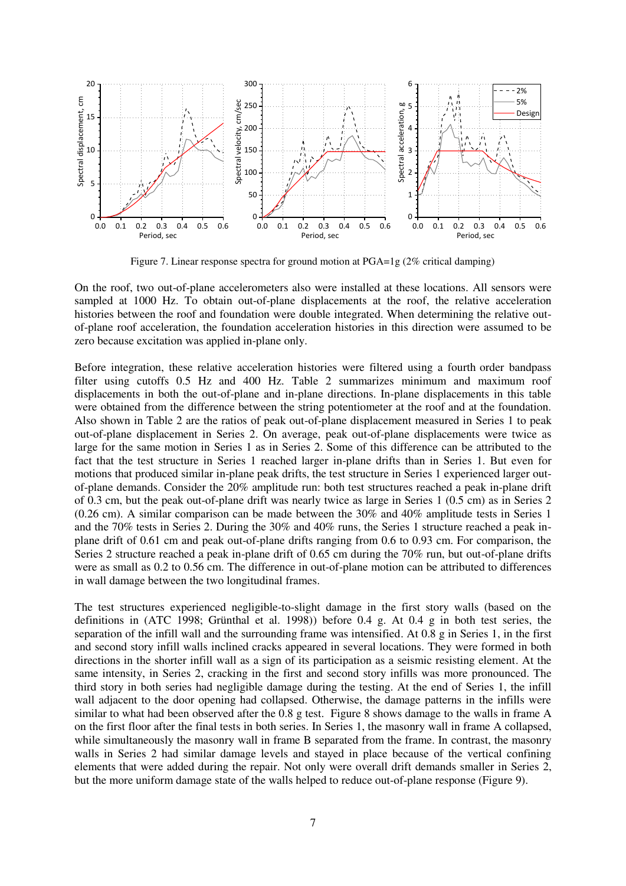

Figure 7. Linear response spectra for ground motion at PGA=1g (2% critical damping)

On the roof, two out-of-plane accelerometers also were installed at these locations. All sensors were sampled at 1000 Hz. To obtain out-of-plane displacements at the roof, the relative acceleration histories between the roof and foundation were double integrated. When determining the relative outof-plane roof acceleration, the foundation acceleration histories in this direction were assumed to be zero because excitation was applied in-plane only.

Before integration, these relative acceleration histories were filtered using a fourth order bandpass filter using cutoffs 0.5 Hz and 400 Hz. Table 2 summarizes minimum and maximum roof displacements in both the out-of-plane and in-plane directions. In-plane displacements in this table were obtained from the difference between the string potentiometer at the roof and at the foundation. Also shown in Table 2 are the ratios of peak out-of-plane displacement measured in Series 1 to peak out-of-plane displacement in Series 2. On average, peak out-of-plane displacements were twice as large for the same motion in Series 1 as in Series 2. Some of this difference can be attributed to the fact that the test structure in Series 1 reached larger in-plane drifts than in Series 1. But even for motions that produced similar in-plane peak drifts, the test structure in Series 1 experienced larger outof-plane demands. Consider the 20% amplitude run: both test structures reached a peak in-plane drift of 0.3 cm, but the peak out-of-plane drift was nearly twice as large in Series 1 (0.5 cm) as in Series 2 (0.26 cm). A similar comparison can be made between the 30% and 40% amplitude tests in Series 1 and the 70% tests in Series 2. During the 30% and 40% runs, the Series 1 structure reached a peak inplane drift of 0.61 cm and peak out-of-plane drifts ranging from 0.6 to 0.93 cm. For comparison, the Series 2 structure reached a peak in-plane drift of 0.65 cm during the 70% run, but out-of-plane drifts were as small as 0.2 to 0.56 cm. The difference in out-of-plane motion can be attributed to differences in wall damage between the two longitudinal frames.

The test structures experienced negligible-to-slight damage in the first story walls (based on the definitions in (ATC 1998; Grünthal et al. 1998)) before 0.4 g. At 0.4 g in both test series, the separation of the infill wall and the surrounding frame was intensified. At 0.8 g in Series 1, in the first and second story infill walls inclined cracks appeared in several locations. They were formed in both directions in the shorter infill wall as a sign of its participation as a seismic resisting element. At the same intensity, in Series 2, cracking in the first and second story infills was more pronounced. The third story in both series had negligible damage during the testing. At the end of Series 1, the infill wall adjacent to the door opening had collapsed. Otherwise, the damage patterns in the infills were similar to what had been observed after the 0.8 g test. Figure 8 shows damage to the walls in frame A on the first floor after the final tests in both series. In Series 1, the masonry wall in frame A collapsed, while simultaneously the masonry wall in frame B separated from the frame. In contrast, the masonry walls in Series 2 had similar damage levels and stayed in place because of the vertical confining elements that were added during the repair. Not only were overall drift demands smaller in Series 2, but the more uniform damage state of the walls helped to reduce out-of-plane response (Figure 9).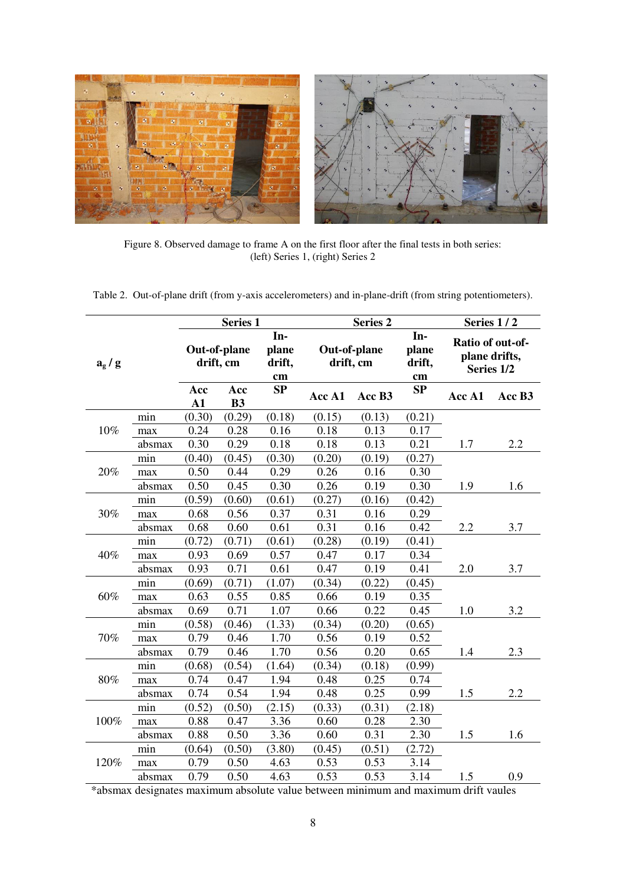

Figure 8. Observed damage to frame A on the first floor after the final tests in both series: (left) Series 1, (right) Series 2

Table 2. Out-of-plane drift (from y-axis accelerometers) and in-plane-drift (from string potentiometers).

|         |        | <b>Series 1</b>           |           |                              | <b>Series 2</b>           |        |                              | Series 1/2                                      |        |
|---------|--------|---------------------------|-----------|------------------------------|---------------------------|--------|------------------------------|-------------------------------------------------|--------|
| $a_g/g$ |        | Out-of-plane<br>drift, cm |           | In-<br>plane<br>drift,<br>cm | Out-of-plane<br>drift, cm |        | In-<br>plane<br>drift,<br>cm | Ratio of out-of-<br>plane drifts,<br>Series 1/2 |        |
|         |        | Acc<br>A1                 | Acc<br>B3 | SP                           | Acc A1                    | Acc B3 | SP                           | Acc A1                                          | Acc B3 |
| 10%     | min    | (0.30)                    | (0.29)    | (0.18)                       | (0.15)                    | (0.13) | (0.21)                       |                                                 |        |
|         | max    | 0.24                      | 0.28      | 0.16                         | 0.18                      | 0.13   | 0.17                         |                                                 |        |
|         | absmax | 0.30                      | 0.29      | 0.18                         | 0.18                      | 0.13   | 0.21                         | 1.7                                             | 2.2    |
| 20%     | min    | (0.40)                    | (0.45)    | (0.30)                       | (0.20)                    | (0.19) | (0.27)                       |                                                 |        |
|         | max    | 0.50                      | 0.44      | 0.29                         | 0.26                      | 0.16   | 0.30                         |                                                 |        |
|         | absmax | 0.50                      | 0.45      | 0.30                         | 0.26                      | 0.19   | 0.30                         | 1.9                                             | 1.6    |
|         | min    | (0.59)                    | (0.60)    | (0.61)                       | (0.27)                    | (0.16) | (0.42)                       |                                                 |        |
| 30%     | max    | 0.68                      | 0.56      | 0.37                         | 0.31                      | 0.16   | 0.29                         |                                                 |        |
|         | absmax | 0.68                      | 0.60      | 0.61                         | 0.31                      | 0.16   | 0.42                         | 2.2                                             | 3.7    |
|         | min    | (0.72)                    | (0.71)    | (0.61)                       | (0.28)                    | (0.19) | (0.41)                       |                                                 |        |
| 40%     | max    | 0.93                      | 0.69      | 0.57                         | 0.47                      | 0.17   | 0.34                         |                                                 |        |
|         | absmax | 0.93                      | 0.71      | 0.61                         | 0.47                      | 0.19   | 0.41                         | 2.0                                             | 3.7    |
|         | min    | (0.69)                    | (0.71)    | (1.07)                       | (0.34)                    | (0.22) | (0.45)                       |                                                 |        |
| 60%     | max    | 0.63                      | 0.55      | 0.85                         | 0.66                      | 0.19   | 0.35                         |                                                 |        |
|         | absmax | 0.69                      | 0.71      | 1.07                         | 0.66                      | 0.22   | 0.45                         | 1.0                                             | 3.2    |
|         | min    | (0.58)                    | (0.46)    | (1.33)                       | (0.34)                    | (0.20) | (0.65)                       |                                                 |        |
| $70\%$  | max    | 0.79                      | 0.46      | 1.70                         | 0.56                      | 0.19   | 0.52                         |                                                 |        |
|         | absmax | 0.79                      | 0.46      | 1.70                         | 0.56                      | 0.20   | 0.65                         | 1.4                                             | 2.3    |
| 80%     | min    | (0.68)                    | (0.54)    | (1.64)                       | (0.34)                    | (0.18) | (0.99)                       |                                                 |        |
|         | max    | 0.74                      | 0.47      | 1.94                         | 0.48                      | 0.25   | 0.74                         |                                                 |        |
|         | absmax | 0.74                      | 0.54      | 1.94                         | 0.48                      | 0.25   | 0.99                         | 1.5                                             | 2.2    |
| 100%    | min    | (0.52)                    | (0.50)    | (2.15)                       | (0.33)                    | (0.31) | (2.18)                       |                                                 |        |
|         | max    | 0.88                      | 0.47      | 3.36                         | 0.60                      | 0.28   | 2.30                         |                                                 |        |
|         | absmax | 0.88                      | 0.50      | 3.36                         | 0.60                      | 0.31   | 2.30                         | 1.5                                             | 1.6    |
| 120%    | min    | (0.64)                    | (0.50)    | (3.80)                       | (0.45)                    | (0.51) | (2.72)                       |                                                 |        |
|         | max    | 0.79                      | 0.50      | 4.63                         | 0.53                      | 0.53   | 3.14                         |                                                 |        |
|         | absmax | 0.79                      | 0.50      | 4.63                         | 0.53                      | 0.53   | 3.14                         | 1.5                                             | 0.9    |

\*absmax designates maximum absolute value between minimum and maximum drift vaules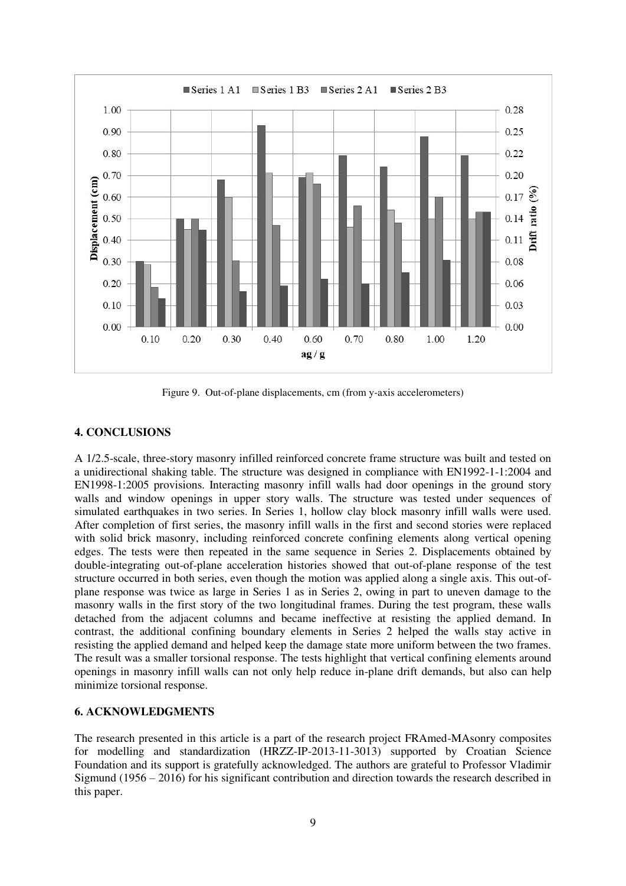

Figure 9. Out-of-plane displacements, cm (from y-axis accelerometers)

# **4. CONCLUSIONS**

A 1/2.5-scale, three-story masonry infilled reinforced concrete frame structure was built and tested on a unidirectional shaking table. The structure was designed in compliance with EN1992-1-1:2004 and EN1998-1:2005 provisions. Interacting masonry infill walls had door openings in the ground story walls and window openings in upper story walls. The structure was tested under sequences of simulated earthquakes in two series. In Series 1, hollow clay block masonry infill walls were used. After completion of first series, the masonry infill walls in the first and second stories were replaced with solid brick masonry, including reinforced concrete confining elements along vertical opening edges. The tests were then repeated in the same sequence in Series 2. Displacements obtained by double-integrating out-of-plane acceleration histories showed that out-of-plane response of the test structure occurred in both series, even though the motion was applied along a single axis. This out-ofplane response was twice as large in Series 1 as in Series 2, owing in part to uneven damage to the masonry walls in the first story of the two longitudinal frames. During the test program, these walls detached from the adjacent columns and became ineffective at resisting the applied demand. In contrast, the additional confining boundary elements in Series 2 helped the walls stay active in resisting the applied demand and helped keep the damage state more uniform between the two frames. The result was a smaller torsional response. The tests highlight that vertical confining elements around openings in masonry infill walls can not only help reduce in-plane drift demands, but also can help minimize torsional response.

# **6. ACKNOWLEDGMENTS**

The research presented in this article is a part of the research project FRAmed-MAsonry composites for modelling and standardization (HRZZ-IP-2013-11-3013) supported by Croatian Science Foundation and its support is gratefully acknowledged. The authors are grateful to Professor Vladimir Sigmund (1956 – 2016) for his significant contribution and direction towards the research described in this paper.